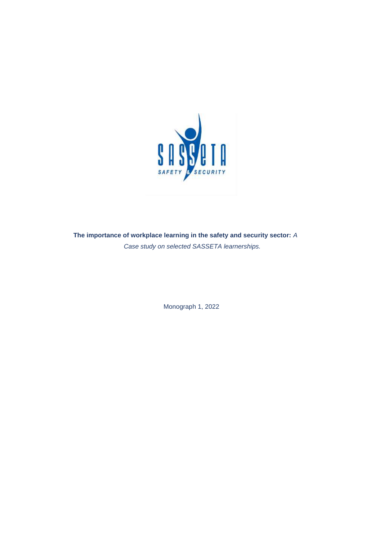

**The importance of workplace learning in the safety and security sector:** *A Case study on selected SASSETA learnerships.*

Monograph 1, 2022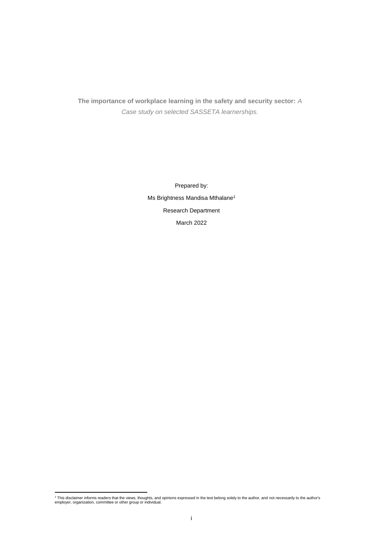**The importance of workplace learning in the safety and security sector:** *A Case study on selected SASSETA learnerships.*

> Prepared by: Ms Brightness Mandisa Mthalane<sup>1</sup> Research Department March 2022

<sup>1</sup> This disclaimer informs readers that the views, thoughts, and opinions expressed in the text belong solely to the author, and not necessarily to the author's employer, organization, committee or other group or individual.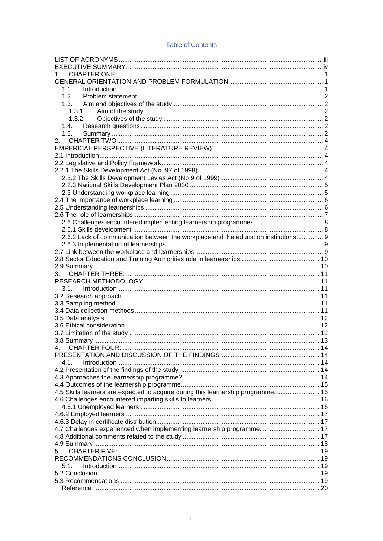| <b>Table of Contents</b> |  |  |  |  |
|--------------------------|--|--|--|--|
|--------------------------|--|--|--|--|

| 1.                                                                                 |  |
|------------------------------------------------------------------------------------|--|
|                                                                                    |  |
| 1.1.                                                                               |  |
| 1.2.                                                                               |  |
|                                                                                    |  |
| 1.3.1.                                                                             |  |
| 1.3.2.                                                                             |  |
| 1.4.                                                                               |  |
| 1.5.                                                                               |  |
|                                                                                    |  |
|                                                                                    |  |
|                                                                                    |  |
|                                                                                    |  |
|                                                                                    |  |
|                                                                                    |  |
|                                                                                    |  |
|                                                                                    |  |
|                                                                                    |  |
|                                                                                    |  |
|                                                                                    |  |
|                                                                                    |  |
| 2.6.2 Lack of communication between the workplace and the education institutions 9 |  |
|                                                                                    |  |
|                                                                                    |  |
|                                                                                    |  |
|                                                                                    |  |
| 3.                                                                                 |  |
|                                                                                    |  |
| 3.1.                                                                               |  |
|                                                                                    |  |
|                                                                                    |  |
|                                                                                    |  |
|                                                                                    |  |
|                                                                                    |  |
|                                                                                    |  |
|                                                                                    |  |
| 4.                                                                                 |  |
|                                                                                    |  |
| 4.1.                                                                               |  |
|                                                                                    |  |
|                                                                                    |  |
|                                                                                    |  |
| 4.5 Skills learners are expected to acquire during this learnership programme.  15 |  |
|                                                                                    |  |
|                                                                                    |  |
|                                                                                    |  |
|                                                                                    |  |
| 4.7 Challenges experienced when implementing learnership programme.  17            |  |
|                                                                                    |  |
|                                                                                    |  |
| 5.                                                                                 |  |
|                                                                                    |  |
| 5.1.                                                                               |  |
|                                                                                    |  |
|                                                                                    |  |
|                                                                                    |  |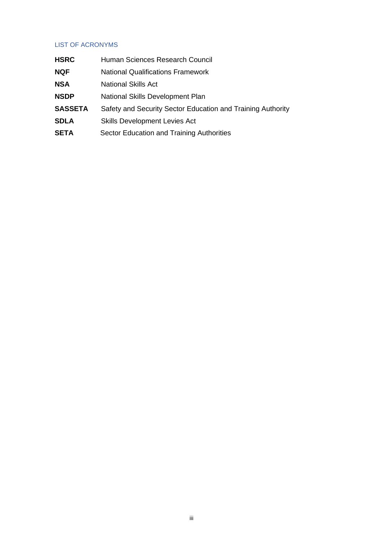# <span id="page-3-0"></span>LIST OF ACRONYMS

| <b>HSRC</b>    | Human Sciences Research Council                             |  |
|----------------|-------------------------------------------------------------|--|
| <b>NQF</b>     | <b>National Qualifications Framework</b>                    |  |
| <b>NSA</b>     | National Skills Act                                         |  |
| <b>NSDP</b>    | National Skills Development Plan                            |  |
| <b>SASSETA</b> | Safety and Security Sector Education and Training Authority |  |
| <b>SDLA</b>    | <b>Skills Development Levies Act</b>                        |  |
| <b>SETA</b>    | Sector Education and Training Authorities                   |  |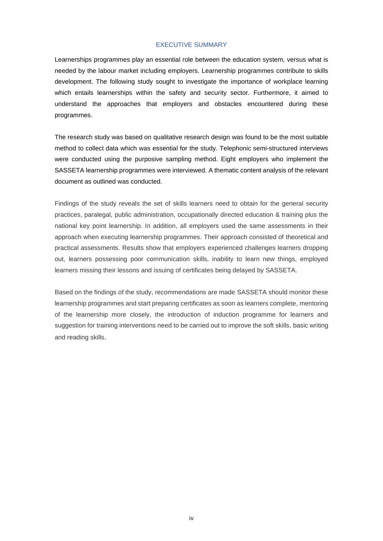### EXECUTIVE SUMMARY

<span id="page-4-0"></span>Learnerships programmes play an essential role between the education system, versus what is needed by the labour market including employers. Learnership programmes contribute to skills development. The following study sought to investigate the importance of workplace learning which entails learnerships within the safety and security sector. Furthermore, it aimed to understand the approaches that employers and obstacles encountered during these programmes.

The research study was based on qualitative research design was found to be the most suitable method to collect data which was essential for the study. Telephonic semi-structured interviews were conducted using the purposive sampling method. Eight employers who implement the SASSETA learnership programmes were interviewed. A thematic content analysis of the relevant document as outlined was conducted.

Findings of the study reveals the set of skills learners need to obtain for the general security practices, paralegal, public administration, occupationally directed education & training plus the national key point learnership. In addition, all employers used the same assessments in their approach when executing learnership programmes. Their approach consisted of theoretical and practical assessments. Results show that employers experienced challenges learners dropping out, learners possessing poor communication skills, inability to learn new things, employed learners missing their lessons and issuing of certificates being delayed by SASSETA.

Based on the findings of the study, recommendations are made SASSETA should monitor these learnership programmes and start preparing certificates as soon as learners complete, mentoring of the learnership more closely, the introduction of induction programme for learners and suggestion for training interventions need to be carried out to improve the soft skills, basic writing and reading skills.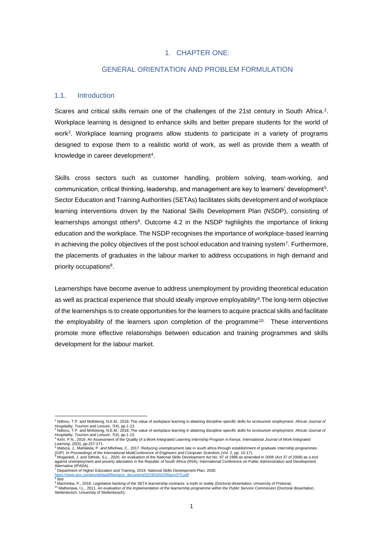## 1. CHAPTER ONE:

## GENERAL ORIENTATION AND PROBLEM FORMULATION

### <span id="page-5-2"></span><span id="page-5-1"></span><span id="page-5-0"></span>1.1. Introduction

Scares and critical skills remain one of the challenges of the 21st century in South Africa.<sup>2</sup>. Workplace learning is designed to enhance skills and better prepare students for the world of work<sup>3</sup>. Workplace learning programs allow students to participate in a variety of programs designed to expose them to a realistic world of work, as well as provide them a wealth of knowledge in career development<sup>4</sup>.

Skills cross sectors such as customer handling, problem solving, team-working, and communication, critical thinking, leadership, and management are key to learners' development<sup>5</sup> . Sector Education and Training Authorities (SETAs) facilitates skills development and of workplace learning interventions driven by the National Skills Development Plan (NSDP), consisting of learnerships amongst others<sup>6</sup>. Outcome 4.2 in the NSDP highlights the importance of linking education and the workplace. The NSDP recognises the importance of workplace-based learning in achieving the policy objectives of the post school education and training system<sup>7</sup>. Furthermore, the placements of graduates in the labour market to address occupations in high demand and priority occupations<sup>8</sup>.

Learnerships have become avenue to address unemployment by providing theoretical education as well as practical experience that should ideally improve employability<sup>9</sup>. The long-term objective of the learnerships is to create opportunities for the learners to acquire practical skills and facilitate the employability of the learners upon completion of the programme<sup>10.</sup> These interventions promote more effective relationships between education and training programmes and skills development for the labour market.

8 Ibid

9 Maririmba, P., 2018. Legislative backing of the SETA learnership contracts: a myth or reality (Doctoral dissertation, University of Pretoria). <sup>10</sup> Mathenjwa, I.L., 2011. An evaluation of the implementation of the learnership programme within the Public Service Commission (Doctoral dissertation,<br>Stellenbosch: University of Stellenbosch).

<sup>2</sup> Ndlovu, T.P. and Mofokeng, N.E.M., 2018. The value of workplace learning in attaining discipline-specific skills for ecotourism employment. *African Journal of* 

*Hospitality, Tourism and Leisure, 7*(4), pp.1-13.<br><sup>3</sup> Ndlovu, T.P. and Mofokeng, N.E.M., 2018. The value of workplace learning in attaining discipline-specific skills for ecotourism employment. *African Journal of*<br>*Hospi* 

ישורי האיישר או האפרישטישה בי האיישרי של האפרישטישה וא היישר של הייסטישה ומשפח המונה אותה אותה אותה אותה אותה<br>ב- Learning, 20(3), pp:257-271.<br>ה- Mabiza, J., Mahlalela, P. and Mbohwa, C., 2017. Reducing unemployment rate i

<sup>(</sup>GIP). In *Proceedings of the International MultiConference of Engineers and Computer Scientists* (Vol. 2, pp. 15-17).<br><sup>6</sup> Moganedi, J. and Sithole, S.L., 2020. An evaluation of the National Skills Development Act No. 97 o

Alternative (IPADA).<br><sup>7</sup> Department of Higher Education and Training, 2019. National Skills Development Plan, 2030.

[https://www.gov.za/sites/default/files/gcis\\_document/201903/42290gon375.pdf](https://www.gov.za/sites/default/files/gcis_document/201903/42290gon375.pdf)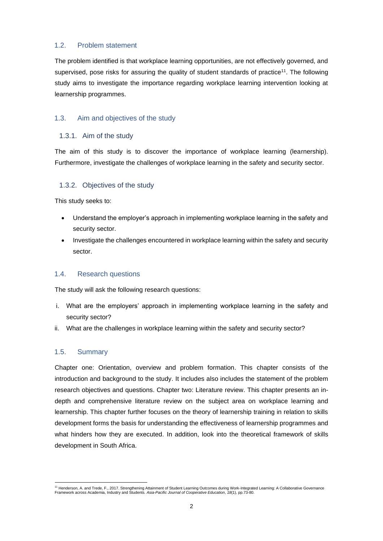## <span id="page-6-0"></span>1.2. Problem statement

The problem identified is that workplace learning opportunities, are not effectively governed, and supervised, pose risks for assuring the quality of student standards of practice<sup>11</sup>. The following study aims to investigate the importance regarding workplace learning intervention looking at learnership programmes.

# <span id="page-6-1"></span>1.3. Aim and objectives of the study

# <span id="page-6-2"></span>1.3.1. Aim of the study

The aim of this study is to discover the importance of workplace learning (learnership). Furthermore, investigate the challenges of workplace learning in the safety and security sector.

# <span id="page-6-3"></span>1.3.2. Objectives of the study

This study seeks to:

- Understand the employer's approach in implementing workplace learning in the safety and security sector.
- Investigate the challenges encountered in workplace learning within the safety and security sector.

# <span id="page-6-4"></span>1.4. Research questions

The study will ask the following research questions:

- i. What are the employers' approach in implementing workplace learning in the safety and security sector?
- ii. What are the challenges in workplace learning within the safety and security sector?

## <span id="page-6-5"></span>1.5. Summary

Chapter one: Orientation, overview and problem formation. This chapter consists of the introduction and background to the study. It includes also includes the statement of the problem research objectives and questions. Chapter two: Literature review. This chapter presents an indepth and comprehensive literature review on the subject area on workplace learning and learnership. This chapter further focuses on the theory of learnership training in relation to skills development forms the basis for understanding the effectiveness of learnership programmes and what hinders how they are executed. In addition, look into the theoretical framework of skills development in South Africa.

<sup>&</sup>lt;sup>11</sup> Henderson, A. and Trede, F., 2017. Strengthening Attainment of Student Learning Outcomes during Work-Integrated Learning: A Collaborative Governance<br>Framework across Academia, Industry and Students. *Asia-Pacific Jour*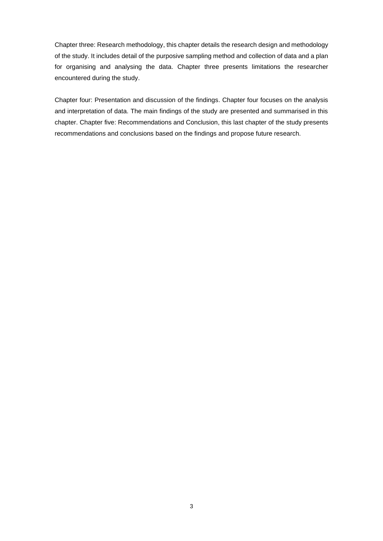Chapter three: Research methodology, this chapter details the research design and methodology of the study. It includes detail of the purposive sampling method and collection of data and a plan for organising and analysing the data. Chapter three presents limitations the researcher encountered during the study.

Chapter four: Presentation and discussion of the findings. Chapter four focuses on the analysis and interpretation of data. The main findings of the study are presented and summarised in this chapter. Chapter five: Recommendations and Conclusion, this last chapter of the study presents recommendations and conclusions based on the findings and propose future research.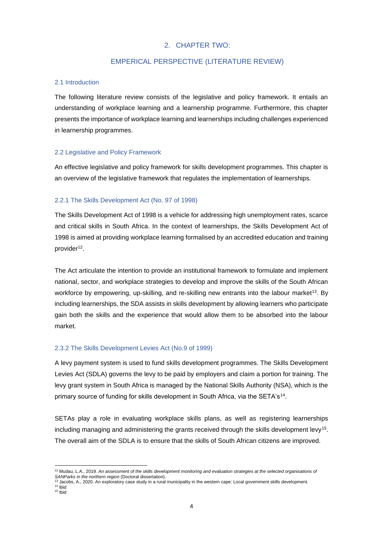# 2. CHAPTER TWO:

## EMPERICAL PERSPECTIVE (LITERATURE REVIEW)

## <span id="page-8-2"></span><span id="page-8-1"></span><span id="page-8-0"></span>2.1 Introduction

The following literature review consists of the legislative and policy framework. It entails an understanding of workplace learning and a learnership programme. Furthermore, this chapter presents the importance of workplace learning and learnerships including challenges experienced in learnership programmes.

## <span id="page-8-3"></span>2.2 Legislative and Policy Framework

An effective legislative and policy framework for skills development programmes. This chapter is an overview of the legislative framework that regulates the implementation of learnerships.

## <span id="page-8-4"></span>2.2.1 The Skills Development Act (No. 97 of 1998)

The Skills Development Act of 1998 is a vehicle for addressing high unemployment rates, scarce and critical skills in South Africa. In the context of learnerships, the Skills Development Act of 1998 is aimed at providing workplace learning formalised by an accredited education and training provider<sup>12</sup>.

The Act articulate the intention to provide an institutional framework to formulate and implement national, sector, and workplace strategies to develop and improve the skills of the South African workforce by empowering, up-skilling, and re-skilling new entrants into the labour market<sup>13</sup>. By including learnerships, the SDA assists in skills development by allowing learners who participate gain both the skills and the experience that would allow them to be absorbed into the labour market.

## <span id="page-8-5"></span>2.3.2 The Skills Development Levies Act (No.9 of 1999)

A levy payment system is used to fund skills development programmes. The Skills Development Levies Act (SDLA) governs the levy to be paid by employers and claim a portion for training. The levy grant system in South Africa is managed by the National Skills Authority (NSA), which is the primary source of funding for skills development in South Africa, via the SETA's<sup>14</sup>.

SETAs play a role in evaluating workplace skills plans, as well as registering learnerships including managing and administering the grants received through the skills development levy<sup>15</sup>. The overall aim of the SDLA is to ensure that the skills of South African citizens are improved.

<sup>12</sup> Mudau, L.A., 2019. *An assessment of the skills development monitoring and evaluation strategies at the selected organisations of SANParks in the northern region* (Doctoral dissertation).

<sup>13</sup> Jacobs, A., 2020. An exploratory case study in a rural municipality in the western cape: Local government skills development.

 $14$  Ibid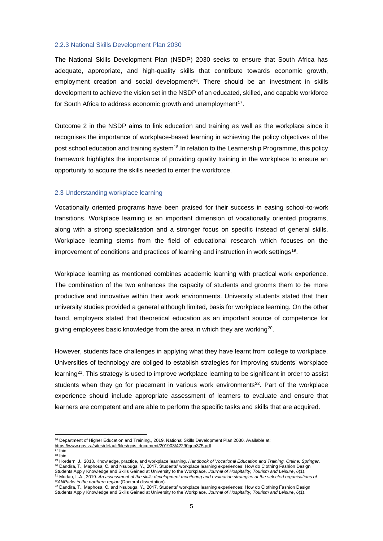#### <span id="page-9-0"></span>2.2.3 National Skills Development Plan 2030

The National Skills Development Plan (NSDP) 2030 seeks to ensure that South Africa has adequate, appropriate, and high-quality skills that contribute towards economic growth, employment creation and social development<sup>16</sup>. There should be an investment in skills development to achieve the vision set in the NSDP of an educated, skilled, and capable workforce for South Africa to address economic growth and unemployment<sup>17</sup>.

Outcome 2 in the NSDP aims to link education and training as well as the workplace since it recognises the importance of workplace-based learning in achieving the policy objectives of the post school education and training system<sup>18</sup>. In relation to the Learnership Programme, this policy framework highlights the importance of providing quality training in the workplace to ensure an opportunity to acquire the skills needed to enter the workforce.

### <span id="page-9-1"></span>2.3 Understanding workplace learning

Vocationally oriented programs have been praised for their success in easing school-to-work transitions. Workplace learning is an important dimension of vocationally oriented programs, along with a strong specialisation and a stronger focus on specific instead of general skills. Workplace learning stems from the field of educational research which focuses on the improvement of conditions and practices of learning and instruction in work settings<sup>19</sup> .

Workplace learning as mentioned combines academic learning with practical work experience. The combination of the two enhances the capacity of students and grooms them to be more productive and innovative within their work environments. University students stated that their university studies provided a general although limited, basis for workplace learning. On the other hand, employers stated that theoretical education as an important source of competence for giving employees basic knowledge from the area in which they are working<sup>20</sup>.

However, students face challenges in applying what they have learnt from college to workplace. Universities of technology are obliged to establish strategies for improving students' workplace learning<sup>21</sup>. This strategy is used to improve workplace learning to be significant in order to assist students when they go for placement in various work environments<sup>22</sup>. Part of the workplace experience should include appropriate assessment of learners to evaluate and ensure that learners are competent and are able to perform the specific tasks and skills that are acquired.

<sup>16</sup> Department of Higher Education and Training., 2019. National Skills Development Plan 2030. Available at: [https://www.gov.za/sites/default/files/gcis\\_document/201903/42290gon375.pdf](https://www.gov.za/sites/default/files/gcis_document/201903/42290gon375.pdf)

<sup>17</sup> Ibid

<sup>18</sup> Ibid

<sup>19</sup> Hordern, J., 2018. Knowledge, practice, and workplace learning. *Handbook of Vocational Education and Training. Online: Springer*. <sup>20</sup> Dandira, T., Maphosa, C. and Nsubuga, Y., 2017. Students' workplace learning experiences: How do Clothing Fashion Design

Students Apply Knowledge and Skills Gained at University to the Workplace. *Journal of Hospitality, Tourism and Leisure*, *6*(1). <sup>21</sup> Mudau, L.A., 2019. *An assessment of the skills development monitoring and evaluation strategies at the selected organisations of SANParks in the northern region* (Doctoral dissertation).

 $^{22}$  Dandira, T., Maphosa, C. and Nsubuga, Y., 2017. Students' workplace learning experiences: How do Clothing Fashion Design Students Apply Knowledge and Skills Gained at University to the Workplace. *Journal of Hospitality, Tourism and Leisure*, *6*(1).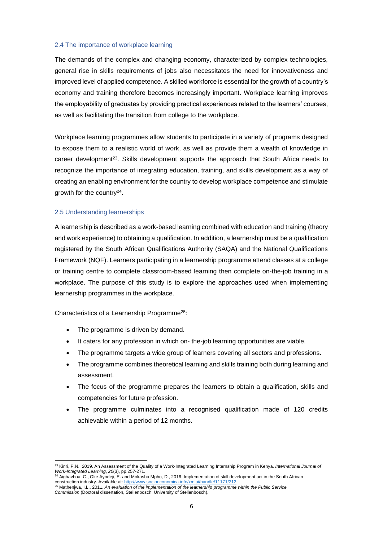### <span id="page-10-0"></span>2.4 The importance of workplace learning

The demands of the complex and changing economy, characterized by complex technologies, general rise in skills requirements of jobs also necessitates the need for innovativeness and improved level of applied competence. A skilled workforce is essential for the growth of a country's economy and training therefore becomes increasingly important. Workplace learning improves the employability of graduates by providing practical experiences related to the learners' courses, as well as facilitating the transition from college to the workplace.

Workplace learning programmes allow students to participate in a variety of programs designed to expose them to a realistic world of work, as well as provide them a wealth of knowledge in career development<sup>23</sup>. Skills development supports the approach that South Africa needs to recognize the importance of integrating education, training, and skills development as a way of creating an enabling environment for the country to develop workplace competence and stimulate growth for the country<sup>24</sup>.

## <span id="page-10-1"></span>2.5 Understanding learnerships

A learnership is described as a work-based learning combined with education and training (theory and work experience) to obtaining a qualification. In addition, a learnership must be a qualification registered by the South African Qualifications Authority (SAQA) and the National Qualifications Framework (NQF). Learners participating in a learnership programme attend classes at a college or training centre to complete classroom-based learning then complete on-the-job training in a workplace. The purpose of this study is to explore the approaches used when implementing learnership programmes in the workplace.

Characteristics of a Learnership Programme<sup>25</sup>:

- The programme is driven by demand.
- It caters for any profession in which on-the-job learning opportunities are viable.
- The programme targets a wide group of learners covering all sectors and professions.
- The programme combines theoretical learning and skills training both during learning and assessment.
- The focus of the programme prepares the learners to obtain a qualification, skills and competencies for future profession.
- The programme culminates into a recognised qualification made of 120 credits achievable within a period of 12 months.

<sup>23</sup> Kiriri, P.N., 2019. An Assessment of the Quality of a Work-Integrated Learning Internship Program in Kenya. *International Journal of Work-Integrated Learning*, *20*(3), pp.257-271.

<sup>24</sup> Aigbavboa, C., Oke Ayodeji, E. and Mokasha Mpho, D., 2016. Implementation of skill development act in the South African

construction industry. Available at: <u>http://www.socioeconomica.info/xmlui/handle/11171/212</u><br><sup>25</sup> Mathenjwa, I.L., 2011. *An evaluation of the implementation of the learnership programme within the Public Service*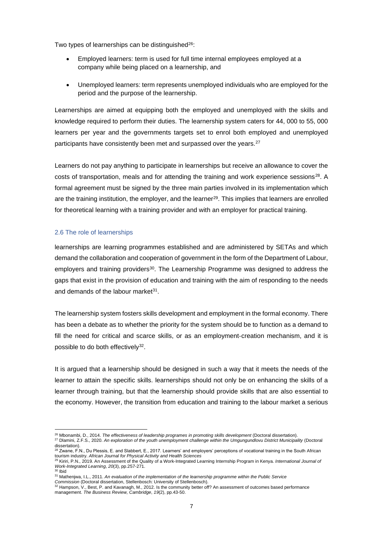Two types of learnerships can be distinguished<sup>26</sup>:

- Employed learners: term is used for full time internal employees employed at a company while being placed on a learnership, and
- Unemployed learners: term represents unemployed individuals who are employed for the period and the purpose of the learnership.

Learnerships are aimed at equipping both the employed and unemployed with the skills and knowledge required to perform their duties. The learnership system caters for 44, 000 to 55, 000 learners per year and the governments targets set to enrol both employed and unemployed participants have consistently been met and surpassed over the years.<sup>27</sup>

Learners do not pay anything to participate in learnerships but receive an allowance to cover the costs of transportation, meals and for attending the training and work experience sessions $^{28}$ . A formal agreement must be signed by the three main parties involved in its implementation which are the training institution, the employer, and the learner<sup>29</sup>. This implies that learners are enrolled for theoretical learning with a training provider and with an employer for practical training.

### <span id="page-11-0"></span>2.6 The role of learnerships

learnerships are learning programmes established and are administered by SETAs and which demand the collaboration and cooperation of government in the form of the Department of Labour, employers and training providers<sup>30</sup>. The Learnership Programme was designed to address the gaps that exist in the provision of education and training with the aim of responding to the needs and demands of the labour market<sup>31</sup>.

The learnership system fosters skills development and employment in the formal economy. There has been a debate as to whether the priority for the system should be to function as a demand to fill the need for critical and scarce skills, or as an employment-creation mechanism, and it is possible to do both effectively<sup>32</sup>.

It is argued that a learnership should be designed in such a way that it meets the needs of the learner to attain the specific skills. learnerships should not only be on enhancing the skills of a learner through training, but that the learnership should provide skills that are also essential to the economy. However, the transition from education and training to the labour market a serious

<sup>26</sup> Mbonambi, D., 2014. *The effectiveness of leadership programes in promoting skills development* (Doctoral dissertation).

<sup>27</sup> Dlamini, Z.F.S., 2020. *An exploration of the youth unemployment challenge within the Umgungundlovu District Municipality* (Doctoral dissertation). <sup>28</sup> Zwane, F.N., Du Plessis, E. and Slabbert, E., 2017. Learners' and employers' perceptions of vocational training in the South African

tourism industry. *African Journal for Physical Activity and Health Sciences*<br><sup>29</sup> Kiriri, P.N., 2019. An Assessment of the Quality of a Work-Integrated Learning Internship Program in Kenya. *International Journal of* 

*Work-Integrated Learning*, *20*(3), pp.257-271.  $30$  Ibid

<sup>31</sup> Mathenjwa, I.L., 2011. *An evaluation of the implementation of the learnership programme within the Public Service*

*Commission* (Doctoral dissertation, Stellenbosch: University of Stellenbosch). <sup>32</sup> Hampson, V., Best, P. and Kavanagh, M., 2012. Is the community better off? An assessment of outcomes based performance management. *The Business Review, Cambridge*, *19*(2), pp.43-50.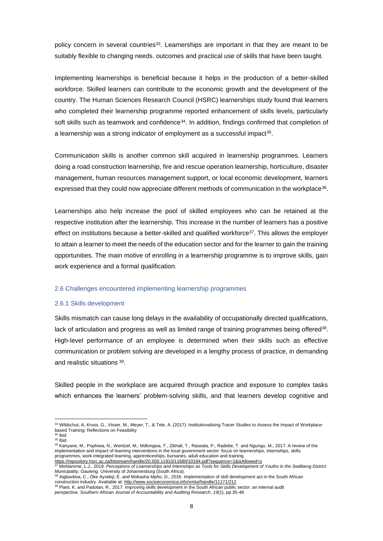policy concern in several countries<sup>33</sup>. Learnerships are important in that they are meant to be suitably flexible to changing needs. outcomes and practical use of skills that have been taught.

Implementing learnerships is beneficial because it helps in the production of a better-skilled workforce. Skilled learners can contribute to the economic growth and the development of the country. The Human Sciences Research Council (HSRC) learnerships study found that learners who completed their learnership programme reported enhancement of skills levels, particularly soft skills such as teamwork and confidence<sup>34</sup>. In addition, findings confirmed that completion of a learnership was a strong indicator of employment as a successful impact<sup>35</sup>.

Communication skills is another common skill acquired in learnership programmes. Learners doing a road construction learnership, fire and rescue operation learnership, horticulture, disaster management, human resources management support, or local economic development, learners expressed that they could now appreciate different methods of communication in the workplace<sup>36</sup>.

Learnerships also help increase the pool of skilled employees who can be retained at the respective institution after the learnership. This increase in the number of learners has a positive effect on institutions because a better-skilled and qualified workforce<sup>37</sup>. This allows the employer to attain a learner to meet the needs of the education sector and for the learner to gain the training opportunities. The main motive of enrolling in a learnership programme is to improve skills, gain work experience and a formal qualification.

### <span id="page-12-0"></span>2.6 Challenges encountered implementing learnership programmes

#### <span id="page-12-1"></span>2.6.1 Skills development

Skills mismatch can cause long delays in the availability of occupationally directed qualifications, lack of articulation and progress as well as limited range of training programmes being offered<sup>38</sup>. High-level performance of an employee is determined when their skills such as effective communication or problem solving are developed in a lengthy process of practice, in demanding and realistic situations <sup>39</sup>.

Skilled people in the workplace are acquired through practice and exposure to complex tasks which enhances the learners' problem-solving skills, and that learners develop cognitive and

<sup>33</sup> Wildschut, A, Kruss, G., Visser, M., Meyer, T., & Tele, A. (2017). Institutionalising Tracer Studies to Assess the Impact of Workplacebased Training: Reflections on Feasibility  $34$  Ibid

 $35$  Ibid

<sup>36</sup> Kanyane, M., Pophiwa, N., Wentzel, M., Mdlongwa, T., Zikhali, T., Raseala, P., Radebe, T. and Ngungu, M., 2017. A review of the implementation and impact of learning interventions in the local government sector: focus on learnerships, internships, skills programmes, work-integrated learning, apprenticeships, bursaries, adult education and training. <https://repository.hsrc.ac.za/bitstream/handle/20.500.11910/11680/10184.pdf?sequence=1&isAllowed=y>

<sup>37</sup> Mohlamme, L.J., 2019. *Perceptions of Learnerships and Internships as Tools for Skills Development of Youths in the Sedibeng District Municipality, Gauteng*. University of Johannesburg (South Africa).

<sup>38</sup> Aigbavboa, C., Oke Ayodeji, E. and Mokasha Mpho, D., 2016. Implementation of skill development act in the South African construction industry. Available at: <u>http://www.socioeconomica.info/xmlui/handle/11171/212</u><br><sup>39</sup> Plant, K. and Padotan, R., 2017. Improving skills development in the South African public sector: an internal audit

perspective. *Southern African Journal of Accountability and Auditing Research*, *19*(1), pp.35-48.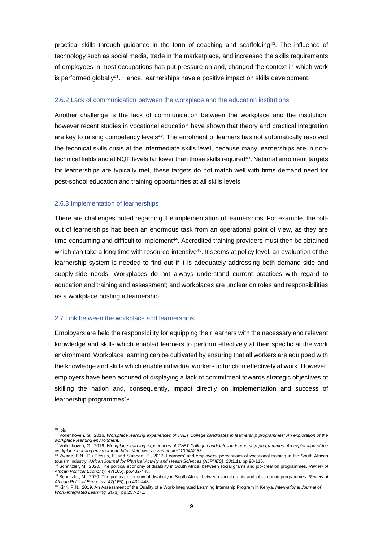practical skills through guidance in the form of coaching and scaffolding<sup>40</sup>. The influence of technology such as social media, trade in the marketplace, and increased the skills requirements of employees in most occupations has put pressure on and, changed the context in which work is performed globally<sup>41</sup>. Hence, learnerships have a positive impact on skills development.

#### <span id="page-13-0"></span>2.6.2 Lack of communication between the workplace and the education institutions

Another challenge is the lack of communication between the workplace and the institution, however recent studies in vocational education have shown that theory and practical integration are key to raising competency levels<sup>42</sup>. The enrolment of learners has not automatically resolved the technical skills crisis at the intermediate skills level, because many learnerships are in nontechnical fields and at NQF levels far lower than those skills required<sup>43</sup>. National enrolment targets for learnerships are typically met, these targets do not match well with firms demand need for post-school education and training opportunities at all skills levels.

#### <span id="page-13-1"></span>2.6.3 Implementation of learnerships

There are challenges noted regarding the implementation of learnerships. For example, the rollout of learnerships has been an enormous task from an operational point of view, as they are time-consuming and difficult to implement<sup>44</sup>. Accredited training providers must then be obtained which can take a long time with resource-intensive<sup>45</sup>. It seems at policy level, an evaluation of the learnership system is needed to find out if it is adequately addressing both demand-side and supply-side needs. Workplaces do not always understand current practices with regard to education and training and assessment; and workplaces are unclear on roles and responsibilities as a workplace hosting a learnership.

#### <span id="page-13-2"></span>2.7 Link between the workplace and learnerships

Employers are held the responsibility for equipping their learners with the necessary and relevant knowledge and skills which enabled learners to perform effectively at their specific at the work environment. Workplace learning can be cultivated by ensuring that all workers are equipped with the knowledge and skills which enable individual workers to function effectively at work. However, employers have been accused of displaying a lack of commitment towards strategic objectives of skilling the nation and, consequently, impact directly on implementation and success of learnership programmes<sup>46</sup>.

<sup>40</sup> Ibid

<sup>41</sup> Vollenhoven, G., 2016. *Workplace learning experiences of TVET College candidates in learnership programmes: An exploration of the workplace learning environment.* <sup>42</sup> Vollenhoven, G., 2016. *Workplace learning experiences of TVET College candidates in learnership programmes: An exploration of the* 

*workplace learning environment.<https://etd.uwc.ac.za/handle/11394/4953>* <sup>43</sup> Zwane, F.N., Du Plessis, E. and Slabbert, E., 2017. Learners' and employers' perceptions of vocational training in the South African

tourism industry. *African Journal for Physical Activity and Health Sciences (AJPHES)*, *23*(1.1), pp.90-116. <sup>44</sup> Schnitzler, M., 2020. The political economy of disability in South Africa, between social grants and job-creation programmes. *Review of* 

*African Political Economy*, *47*(165), pp.432-448. <sup>45</sup> Schnitzler, M., 2020. The political economy of disability in South Africa, between social grants and job-creation programmes. *Review of* 

*African Political Economy*, *47*(165), pp.432-448. <sup>46</sup> Kiriri, P.N., 2019. An Assessment of the Quality of a Work-Integrated Learning Internship Program in Kenya. *International Journal of Work-Integrated Learning*, *20*(3), pp.257-271.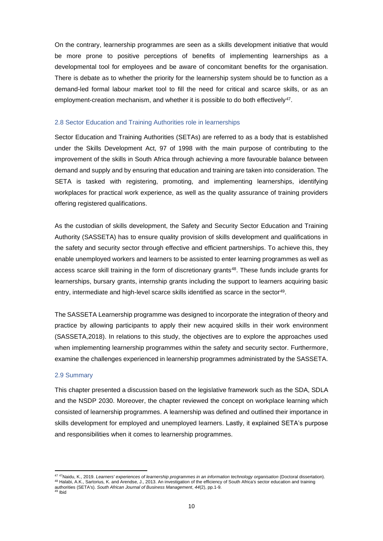On the contrary, learnership programmes are seen as a skills development initiative that would be more prone to positive perceptions of benefits of implementing learnerships as a developmental tool for employees and be aware of concomitant benefits for the organisation. There is debate as to whether the priority for the learnership system should be to function as a demand-led formal labour market tool to fill the need for critical and scarce skills, or as an employment-creation mechanism, and whether it is possible to do both effectively<sup>47</sup>.

#### <span id="page-14-0"></span>2.8 Sector Education and Training Authorities role in learnerships

Sector Education and Training Authorities (SETAs) are referred to as a body that is established under the Skills Development Act, 97 of 1998 with the main purpose of contributing to the improvement of the skills in South Africa through achieving a more favourable balance between demand and supply and by ensuring that education and training are taken into consideration. The SETA is tasked with registering, promoting, and implementing learnerships, identifying workplaces for practical work experience, as well as the quality assurance of training providers offering registered qualifications.

As the custodian of skills development, the Safety and Security Sector Education and Training Authority (SASSETA) has to ensure quality provision of skills development and qualifications in the safety and security sector through effective and efficient partnerships. To achieve this, they enable unemployed workers and learners to be assisted to enter learning programmes as well as access scarce skill training in the form of discretionary grants<sup>48</sup>. These funds include grants for learnerships, bursary grants, internship grants including the support to learners acquiring basic entry, intermediate and high-level scarce skills identified as scarce in the sector<sup>49</sup>.

The SASSETA Learnership programme was designed to incorporate the integration of theory and practice by allowing participants to apply their new acquired skills in their work environment (SASSETA,2018). In relations to this study, the objectives are to explore the approaches used when implementing learnership programmes within the safety and security sector. Furthermore, examine the challenges experienced in learnership programmes administrated by the SASSETA.

#### <span id="page-14-1"></span>2.9 Summary

This chapter presented a discussion based on the legislative framework such as the SDA, SDLA and the NSDP 2030. Moreover, the chapter reviewed the concept on workplace learning which consisted of learnership programmes. A learnership was defined and outlined their importance in skills development for employed and unemployed learners. Lastly, it explained SETA's purpose and responsibilities when it comes to learnership programmes.

<sup>47</sup> <sup>47</sup>Naidu, K., 2019. *Learners' experiences of learnership programmes in an information technology organisation* (Doctoral dissertation). <sup>48</sup> Halabi, A.K., Sartorius, K. and Arendse, J., 2013. An investigation of the efficiency of South Africa's sector education and training authorities (SETA's). *South African Journal of Business Management*, *44*(2), pp.1-9.

<sup>49</sup> Ibid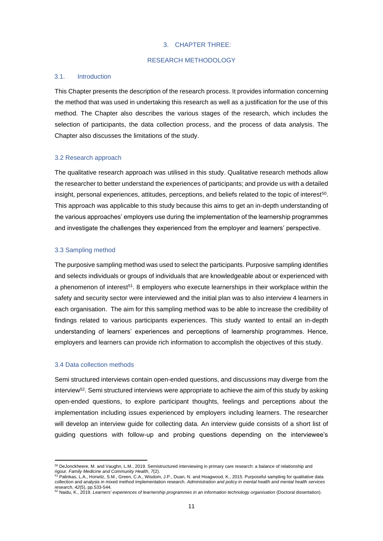#### 3. CHAPTER THREE:

### RESEARCH METHODOLOGY

#### <span id="page-15-2"></span><span id="page-15-1"></span><span id="page-15-0"></span>3.1. Introduction

This Chapter presents the description of the research process. It provides information concerning the method that was used in undertaking this research as well as a justification for the use of this method. The Chapter also describes the various stages of the research, which includes the selection of participants, the data collection process, and the process of data analysis. The Chapter also discusses the limitations of the study.

#### <span id="page-15-3"></span>3.2 Research approach

The qualitative research approach was utilised in this study. Qualitative research methods allow the researcher to better understand the experiences of participants; and provide us with a detailed insight, personal experiences, attitudes, perceptions, and beliefs related to the topic of interest<sup>50</sup>. This approach was applicable to this study because this aims to get an in-depth understanding of the various approaches' employers use during the implementation of the learnership programmes and investigate the challenges they experienced from the employer and learners' perspective.

### <span id="page-15-4"></span>3.3 Sampling method

The purposive sampling method was used to select the participants. Purposive sampling identifies and selects individuals or groups of individuals that are knowledgeable about or experienced with a phenomenon of interest<sup>51</sup>. 8 employers who execute learnerships in their workplace within the safety and security sector were interviewed and the initial plan was to also interview 4 learners in each organisation. The aim for this sampling method was to be able to increase the credibility of findings related to various participants experiences. This study wanted to entail an in-depth understanding of learners' experiences and perceptions of learnership programmes. Hence, employers and learners can provide rich information to accomplish the objectives of this study.

#### <span id="page-15-5"></span>3.4 Data collection methods

Semi structured interviews contain open-ended questions, and discussions may diverge from the interview<sup>52</sup>. Semi structured interviews were appropriate to achieve the aim of this study by asking open-ended questions, to explore participant thoughts, feelings and perceptions about the implementation including issues experienced by employers including learners. The researcher will develop an interview guide for collecting data. An interview guide consists of a short list of guiding questions with follow-up and probing questions depending on the interviewee's

<sup>50</sup> DeJonckheere, M. and Vaughn, L.M., 2019. Semistructured interviewing in primary care research: a balance of relationship and rigour. *Family Medicine and Community Health*, 7(2).<br><sup>51</sup> Palinkas, L.A., Horwitz, S.M., Green, C.A., Wisdom, J.P., Duan, N. and Hoagwood, K., 2015. Purposeful sampling for qualitative data

collection and analysis in mixed method implementation research. *Administration and policy in mental health and mental health services research*, *42*(5), pp.533-544.

<sup>52</sup> Naidu, K., 2019. *Learners' experiences of learnership programmes in an information technology organisation* (Doctoral dissertation).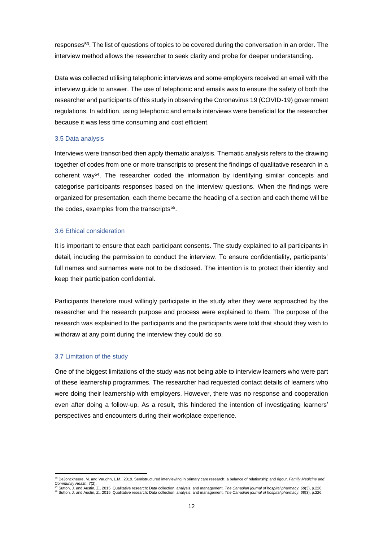responses<sup>53</sup>. The list of questions of topics to be covered during the conversation in an order. The interview method allows the researcher to seek clarity and probe for deeper understanding.

Data was collected utilising telephonic interviews and some employers received an email with the interview guide to answer. The use of telephonic and emails was to ensure the safety of both the researcher and participants of this study in observing the Coronavirus 19 (COVID-19) government regulations. In addition, using telephonic and emails interviews were beneficial for the researcher because it was less time consuming and cost efficient.

#### <span id="page-16-0"></span>3.5 Data analysis

Interviews were transcribed then apply thematic analysis. Thematic analysis refers to the drawing together of codes from one or more transcripts to present the findings of qualitative research in a coherent way<sup>54</sup>. The researcher coded the information by identifying similar concepts and categorise participants responses based on the interview questions. When the findings were organized for presentation, each theme became the heading of a section and each theme will be the codes, examples from the transcripts<sup>55</sup>.

### <span id="page-16-1"></span>3.6 Ethical consideration

It is important to ensure that each participant consents. The study explained to all participants in detail, including the permission to conduct the interview. To ensure confidentiality, participants' full names and surnames were not to be disclosed. The intention is to protect their identity and keep their participation confidential.

Participants therefore must willingly participate in the study after they were approached by the researcher and the research purpose and process were explained to them. The purpose of the research was explained to the participants and the participants were told that should they wish to withdraw at any point during the interview they could do so.

### <span id="page-16-2"></span>3.7 Limitation of the study

One of the biggest limitations of the study was not being able to interview learners who were part of these learnership programmes. The researcher had requested contact details of learners who were doing their learnership with employers. However, there was no response and cooperation even after doing a follow-up. As a result, this hindered the intention of investigating learners' perspectives and encounters during their workplace experience.

<sup>53</sup> DeJonckheere, M. and Vaughn, L.M., 2019. Semistructured interviewing in primary care research: a balance of relationship and rigour. *Family Medicine and* 

Community Health, 7(2).<br><sup>54</sup> Sutton, J. and Austin, Z., 2015. Qualitative research: Data collection, analysis, and management. *The Canadian journal of hospital pharmacy, 68*(3), p.226.<br><sup>55</sup> Sutton, J. and Austin, Z., 201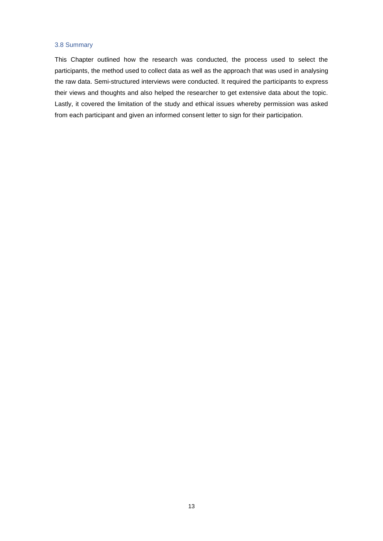### <span id="page-17-0"></span>3.8 Summary

This Chapter outlined how the research was conducted, the process used to select the participants, the method used to collect data as well as the approach that was used in analysing the raw data. Semi-structured interviews were conducted. It required the participants to express their views and thoughts and also helped the researcher to get extensive data about the topic. Lastly, it covered the limitation of the study and ethical issues whereby permission was asked from each participant and given an informed consent letter to sign for their participation.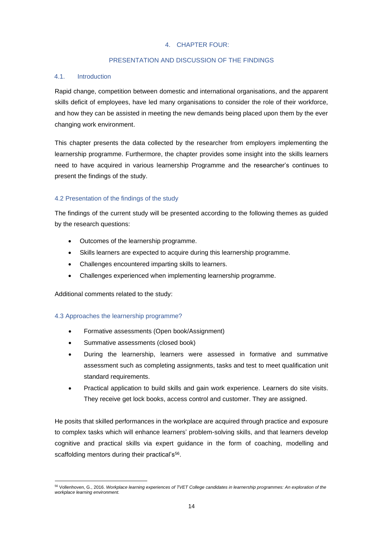## 4. CHAPTER FOUR:

# PRESENTATION AND DISCUSSION OF THE FINDINGS

## <span id="page-18-2"></span><span id="page-18-1"></span><span id="page-18-0"></span>4.1. Introduction

Rapid change, competition between domestic and international organisations, and the apparent skills deficit of employees, have led many organisations to consider the role of their workforce, and how they can be assisted in meeting the new demands being placed upon them by the ever changing work environment.

This chapter presents the data collected by the researcher from employers implementing the learnership programme. Furthermore, the chapter provides some insight into the skills learners need to have acquired in various learnership Programme and the researcher's continues to present the findings of the study.

# <span id="page-18-3"></span>4.2 Presentation of the findings of the study

The findings of the current study will be presented according to the following themes as guided by the research questions:

- Outcomes of the learnership programme.
- Skills learners are expected to acquire during this learnership programme.
- Challenges encountered imparting skills to learners.
- Challenges experienced when implementing learnership programme.

Additional comments related to the study:

## <span id="page-18-4"></span>4.3 Approaches the learnership programme?

- Formative assessments (Open book/Assignment)
- Summative assessments (closed book)
- During the learnership, learners were assessed in formative and summative assessment such as completing assignments, tasks and test to meet qualification unit standard requirements.
- Practical application to build skills and gain work experience. Learners do site visits. They receive get lock books, access control and customer. They are assigned.

He posits that skilled performances in the workplace are acquired through practice and exposure to complex tasks which will enhance learners' problem-solving skills, and that learners develop cognitive and practical skills via expert guidance in the form of coaching, modelling and scaffolding mentors during their practical's<sup>56</sup>.

<sup>56</sup> Vollenhoven, G., 2016. *Workplace learning experiences of TVET College candidates in learnership programmes: An exploration of the workplace learning environment.*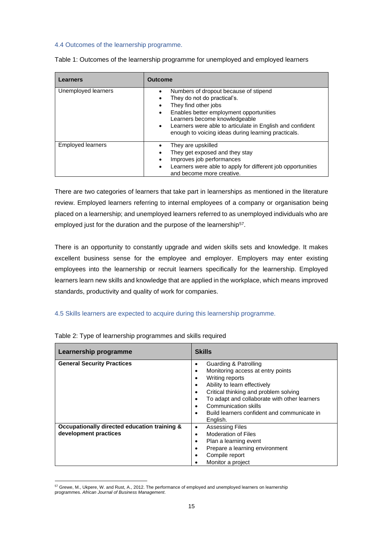### <span id="page-19-0"></span>4.4 Outcomes of the learnership programme.

| Learners                 | <b>Outcome</b>                                                                                                                                                                                                                                                                                                                      |
|--------------------------|-------------------------------------------------------------------------------------------------------------------------------------------------------------------------------------------------------------------------------------------------------------------------------------------------------------------------------------|
| Unemployed learners      | Numbers of dropout because of stipend<br>They do not do practical's.<br>They find other jobs<br>$\bullet$<br>Enables better employment opportunities<br>$\bullet$<br>Learners become knowledgeable<br>Learners were able to articulate in English and confident<br>$\bullet$<br>enough to voicing ideas during learning practicals. |
| <b>Employed learners</b> | They are upskilled<br>They get exposed and they stay<br>Improves job performances<br>٠<br>Learners were able to apply for different job opportunities<br>$\bullet$<br>and become more creative.                                                                                                                                     |

Table 1: Outcomes of the learnership programme for unemployed and employed learners

There are two categories of learners that take part in learnerships as mentioned in the literature review. Employed learners referring to internal employees of a company or organisation being placed on a learnership; and unemployed learners referred to as unemployed individuals who are employed just for the duration and the purpose of the learnership<sup>57</sup>.

There is an opportunity to constantly upgrade and widen skills sets and knowledge. It makes excellent business sense for the employee and employer. Employers may enter existing employees into the learnership or recruit learners specifically for the learnership. Employed learners learn new skills and knowledge that are applied in the workplace, which means improved standards, productivity and quality of work for companies.

## <span id="page-19-1"></span>4.5 Skills learners are expected to acquire during this learnership programme.

| Learnership programme                                                 | <b>Skills</b>                                                                                                                                                                                                                                                                                                                     |
|-----------------------------------------------------------------------|-----------------------------------------------------------------------------------------------------------------------------------------------------------------------------------------------------------------------------------------------------------------------------------------------------------------------------------|
| <b>General Security Practices</b>                                     | Guarding & Patrolling<br>٠<br>Monitoring access at entry points<br>٠<br>Writing reports<br>٠<br>Ability to learn effectively<br>٠<br>Critical thinking and problem solving<br>٠<br>To adapt and collaborate with other learners<br>٠<br>Communication skills<br>٠<br>Build learners confident and communicate in<br>٠<br>English. |
| Occupationally directed education training &<br>development practices | <b>Assessing Files</b><br>٠<br><b>Moderation of Files</b><br>٠<br>Plan a learning event<br>٠<br>Prepare a learning environment<br>٠<br>Compile report<br>٠<br>Monitor a project                                                                                                                                                   |

|  | Table 2: Type of learnership programmes and skills required |
|--|-------------------------------------------------------------|
|--|-------------------------------------------------------------|

<sup>57</sup> Grewe, M., Ukpere, W. and Rust, A., 2012. The performance of employed and unemployed learners on learnership programmes. *African Journal of Business Management*.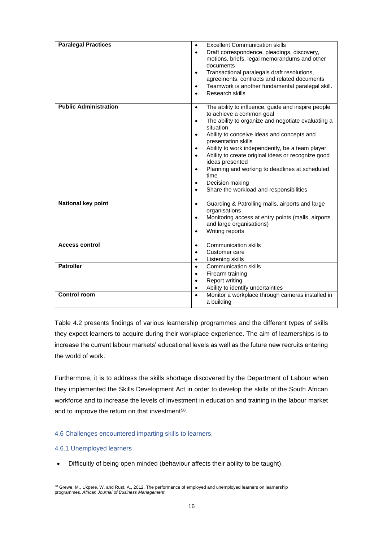| <b>Paralegal Practices</b>   | <b>Excellent Communication skills</b><br>$\bullet$<br>Draft correspondence, pleadings, discovery,<br>$\bullet$<br>motions, briefs, legal memorandums and other<br>documents<br>Transactional paralegals draft resolutions,<br>$\bullet$<br>agreements, contracts and related documents<br>Teamwork is another fundamental paralegal skill.<br>$\bullet$                                                                                                                                                                                                                            |
|------------------------------|------------------------------------------------------------------------------------------------------------------------------------------------------------------------------------------------------------------------------------------------------------------------------------------------------------------------------------------------------------------------------------------------------------------------------------------------------------------------------------------------------------------------------------------------------------------------------------|
|                              | Research skills<br>$\bullet$                                                                                                                                                                                                                                                                                                                                                                                                                                                                                                                                                       |
| <b>Public Administration</b> | The ability to influence, guide and inspire people<br>$\bullet$<br>to achieve a common goal<br>The ability to organize and negotiate evaluating a<br>$\bullet$<br>situation<br>Ability to conceive ideas and concepts and<br>$\bullet$<br>presentation skills<br>Ability to work independently, be a team player<br>$\bullet$<br>Ability to create original ideas or recognize good<br>$\bullet$<br>ideas presented<br>Planning and working to deadlines at scheduled<br>$\bullet$<br>time<br>Decision making<br>$\bullet$<br>Share the workload and responsibilities<br>$\bullet$ |
| <b>National key point</b>    | Guarding & Patrolling malls, airports and large<br>$\bullet$<br>organisations<br>Monitoring access at entry points (malls, airports<br>$\bullet$<br>and large organisations)<br>Writing reports<br>$\bullet$                                                                                                                                                                                                                                                                                                                                                                       |
| <b>Access control</b>        | <b>Communication skills</b><br>$\bullet$<br>Customer care<br>$\bullet$<br>Listening skills<br>$\bullet$                                                                                                                                                                                                                                                                                                                                                                                                                                                                            |
| <b>Patroller</b>             | <b>Communication skills</b><br>$\bullet$<br>Firearm training<br>$\bullet$<br>Report writing<br>$\bullet$<br>Ability to identify uncertainties<br>$\bullet$                                                                                                                                                                                                                                                                                                                                                                                                                         |
| <b>Control room</b>          | Monitor a workplace through cameras installed in<br>$\bullet$<br>a building                                                                                                                                                                                                                                                                                                                                                                                                                                                                                                        |

Table 4.2 presents findings of various learnership programmes and the different types of skills they expect learners to acquire during their workplace experience. The aim of learnerships is to increase the current labour markets' educational levels as well as the future new recruits entering the world of work.

Furthermore, it is to address the skills shortage discovered by the Department of Labour when they implemented the Skills Development Act in order to develop the skills of the South African workforce and to increase the levels of investment in education and training in the labour market and to improve the return on that investment<sup>58</sup>.

## <span id="page-20-0"></span>4.6 Challenges encountered imparting skills to learners.

## <span id="page-20-1"></span>4.6.1 Unemployed learners

• Difficultly of being open minded (behaviour affects their ability to be taught).

<sup>58</sup> Grewe, M., Ukpere, W. and Rust, A., 2012. The performance of employed and unemployed learners on learnership programmes. *African Journal of Business Management*.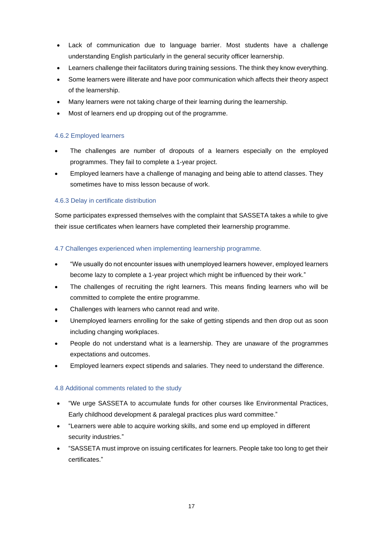- Lack of communication due to language barrier. Most students have a challenge understanding English particularly in the general security officer learnership.
- Learners challenge their facilitators during training sessions. The think they know everything.
- Some learners were illiterate and have poor communication which affects their theory aspect of the learnership.
- Many learners were not taking charge of their learning during the learnership.
- Most of learners end up dropping out of the programme.

## <span id="page-21-0"></span>4.6.2 Employed learners

- The challenges are number of dropouts of a learners especially on the employed programmes. They fail to complete a 1-year project.
- Employed learners have a challenge of managing and being able to attend classes. They sometimes have to miss lesson because of work.

# <span id="page-21-1"></span>4.6.3 Delay in certificate distribution

Some participates expressed themselves with the complaint that SASSETA takes a while to give their issue certificates when learners have completed their learnership programme.

## <span id="page-21-2"></span>4.7 Challenges experienced when implementing learnership programme.

- "We usually do not encounter issues with unemployed learners however, employed learners become lazy to complete a 1-year project which might be influenced by their work."
- The challenges of recruiting the right learners. This means finding learners who will be committed to complete the entire programme.
- Challenges with learners who cannot read and write.
- Unemployed learners enrolling for the sake of getting stipends and then drop out as soon including changing workplaces.
- People do not understand what is a learnership. They are unaware of the programmes expectations and outcomes.
- Employed learners expect stipends and salaries. They need to understand the difference.

## <span id="page-21-3"></span>4.8 Additional comments related to the study

- "We urge SASSETA to accumulate funds for other courses like Environmental Practices, Early childhood development & paralegal practices plus ward committee."
- "Learners were able to acquire working skills, and some end up employed in different security industries."
- "SASSETA must improve on issuing certificates for learners. People take too long to get their certificates."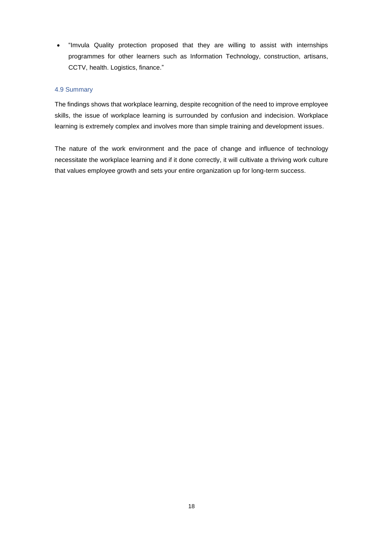• "Imvula Quality protection proposed that they are willing to assist with internships programmes for other learners such as Information Technology, construction, artisans, CCTV, health. Logistics, finance."

### <span id="page-22-0"></span>4.9 Summary

The findings shows that workplace learning, despite recognition of the need to improve employee skills, the issue of workplace learning is surrounded by confusion and indecision. Workplace learning is extremely complex and involves more than simple training and development issues.

The nature of the work environment and the pace of change and influence of technology necessitate the workplace learning and if it done correctly, it will cultivate a thriving work culture that values employee growth and sets your entire organization up for long-term success.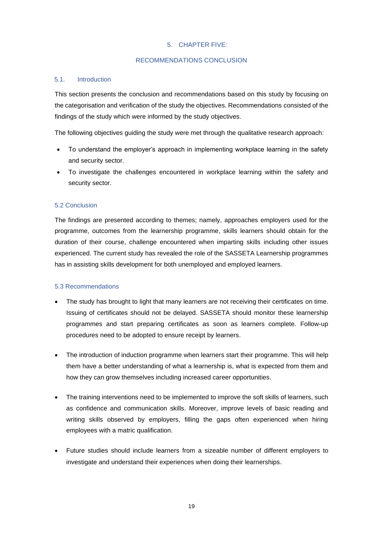## 5. CHAPTER FIVE:

## RECOMMENDATIONS CONCLUSION

## <span id="page-23-2"></span><span id="page-23-1"></span><span id="page-23-0"></span>5.1. Introduction

This section presents the conclusion and recommendations based on this study by focusing on the categorisation and verification of the study the objectives. Recommendations consisted of the findings of the study which were informed by the study objectives.

The following objectives guiding the study were met through the qualitative research approach:

- To understand the employer's approach in implementing workplace learning in the safety and security sector.
- To investigate the challenges encountered in workplace learning within the safety and security sector.

## <span id="page-23-3"></span>5.2 Conclusion

The findings are presented according to themes; namely, approaches employers used for the programme, outcomes from the learnership programme, skills learners should obtain for the duration of their course, challenge encountered when imparting skills including other issues experienced. The current study has revealed the role of the SASSETA Learnership programmes has in assisting skills development for both unemployed and employed learners.

### <span id="page-23-4"></span>5.3 Recommendations

- The study has brought to light that many learners are not receiving their certificates on time. Issuing of certificates should not be delayed. SASSETA should monitor these learnership programmes and start preparing certificates as soon as learners complete. Follow-up procedures need to be adopted to ensure receipt by learners.
- The introduction of induction programme when learners start their programme. This will help them have a better understanding of what a learnership is, what is expected from them and how they can grow themselves including increased career opportunities.
- The training interventions need to be implemented to improve the soft skills of learners, such as confidence and communication skills. Moreover, improve levels of basic reading and writing skills observed by employers, filling the gaps often experienced when hiring employees with a matric qualification.
- Future studies should include learners from a sizeable number of different employers to investigate and understand their experiences when doing their learnerships.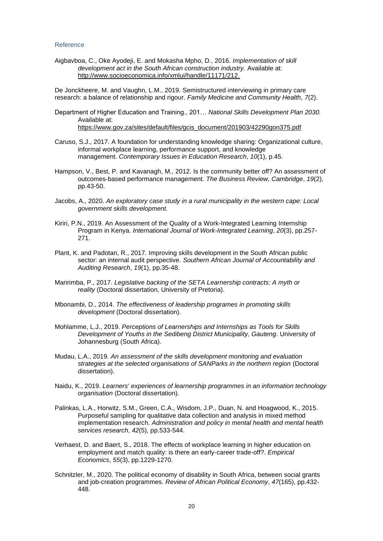#### <span id="page-24-0"></span>Reference

Aigbavboa, C., Oke Ayodeji, E. and Mokasha Mpho, D., 2016. *Implementation of skill development act in the South African construction industry.* Available at: [http://www.socioeconomica.info/xmlui/handle/11171/212.](http://www.socioeconomica.info/xmlui/handle/11171/212)

De Jonckheere, M. and Vaughn, L.M., 2019. Semistructured interviewing in primary care research: a balance of relationship and rigour. *Family Medicine and Community Health*, *7*(2).

- Department of Higher Education and Training., 201… *National Skills Development Plan 2030.* Available at: [https://www.gov.za/sites/default/files/gcis\\_document/201903/42290gon375.pdf](https://www.gov.za/sites/default/files/gcis_document/201903/42290gon375.pdf)
- Caruso, S.J., 2017. A foundation for understanding knowledge sharing: Organizational culture, informal workplace learning, performance support, and knowledge management. *Contemporary Issues in Education Research*, *10*(1), p.45.
- Hampson, V., Best, P. and Kavanagh, M., 2012. Is the community better off? An assessment of outcomes-based performance management. *The Business Review, Cambridge*, *19*(2), pp.43-50.
- Jacobs, A., 2020. *An exploratory case study in a rural municipality in the western cape: Local government skills development.*
- Kiriri, P.N., 2019. An Assessment of the Quality of a Work-Integrated Learning Internship Program in Kenya. *International Journal of Work-Integrated Learning*, *20*(3), pp.257- 271.
- Plant, K. and Padotan, R., 2017. Improving skills development in the South African public sector: an internal audit perspective. *Southern African Journal of Accountability and Auditing Research*, *19*(1), pp.35-48.
- Maririmba, P., 2017. *Legislative backing of the SETA Learnership contracts: A myth or reality* (Doctoral dissertation, University of Pretoria).
- Mbonambi, D., 2014. *The effectiveness of leadership programes in promoting skills development* (Doctoral dissertation).
- Mohlamme, L.J., 2019. *Perceptions of Learnerships and Internships as Tools for Skills Development of Youths in the Sedibeng District Municipality, Gauteng*. University of Johannesburg (South Africa).
- Mudau, L.A., 2019. *An assessment of the skills development monitoring and evaluation strategies at the selected organisations of SANParks in the northern region* (Doctoral dissertation).
- Naidu, K., 2019. *Learners' experiences of learnership programmes in an information technology organisation* (Doctoral dissertation).
- Palinkas, L.A., Horwitz, S.M., Green, C.A., Wisdom, J.P., Duan, N. and Hoagwood, K., 2015. Purposeful sampling for qualitative data collection and analysis in mixed method implementation research. *Administration and policy in mental health and mental health services research*, *42*(5), pp.533-544.
- Verhaest, D. and Baert, S., 2018. The effects of workplace learning in higher education on employment and match quality: is there an early-career trade-off?. *Empirical Economics*, *55*(3), pp.1229-1270.
- Schnitzler, M., 2020. The political economy of disability in South Africa, between social grants and job-creation programmes. *Review of African Political Economy*, *47*(165), pp.432- 448.